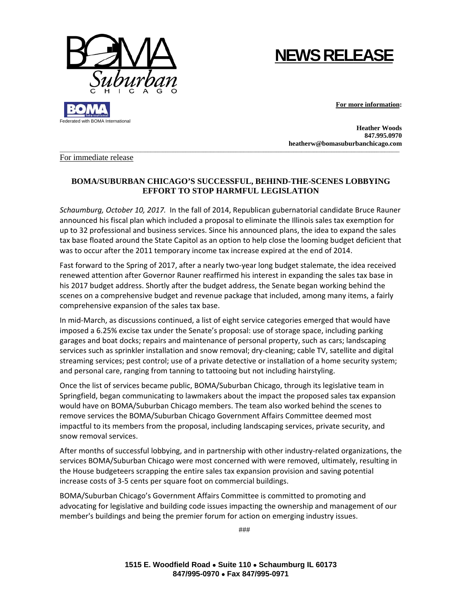

## **NEWS RELEASE**

**For more information:** 

 **Heather Woods 847.995.0970 heatherw@bomasuburbanchicago.com** 

For immediate release

## **BOMA/SUBURBAN CHICAGO'S SUCCESSFUL, BEHIND-THE-SCENES LOBBYING EFFORT TO STOP HARMFUL LEGISLATION**

 $\Box$ 

*Schaumburg, October 10, 2017.* In the fall of 2014, Republican gubernatorial candidate Bruce Rauner announced his fiscal plan which included a proposal to eliminate the Illinois sales tax exemption for up to 32 professional and business services. Since his announced plans, the idea to expand the sales tax base floated around the State Capitol as an option to help close the looming budget deficient that was to occur after the 2011 temporary income tax increase expired at the end of 2014.

Fast forward to the Spring of 2017, after a nearly two-year long budget stalemate, the idea received renewed attention after Governor Rauner reaffirmed his interest in expanding the sales tax base in his 2017 budget address. Shortly after the budget address, the Senate began working behind the scenes on a comprehensive budget and revenue package that included, among many items, a fairly comprehensive expansion of the sales tax base.

In mid‐March, as discussions continued, a list of eight service categories emerged that would have imposed a 6.25% excise tax under the Senate's proposal: use of storage space, including parking garages and boat docks; repairs and maintenance of personal property, such as cars; landscaping services such as sprinkler installation and snow removal; dry-cleaning; cable TV, satellite and digital streaming services; pest control; use of a private detective or installation of a home security system; and personal care, ranging from tanning to tattooing but not including hairstyling.

Once the list of services became public, BOMA/Suburban Chicago, through its legislative team in Springfield, began communicating to lawmakers about the impact the proposed sales tax expansion would have on BOMA/Suburban Chicago members. The team also worked behind the scenes to remove services the BOMA/Suburban Chicago Government Affairs Committee deemed most impactful to its members from the proposal, including landscaping services, private security, and snow removal services.

After months of successful lobbying, and in partnership with other industry‐related organizations, the services BOMA/Suburban Chicago were most concerned with were removed, ultimately, resulting in the House budgeteers scrapping the entire sales tax expansion provision and saving potential increase costs of 3‐5 cents per square foot on commercial buildings.

BOMA/Suburban Chicago's Government Affairs Committee is committed to promoting and advocating for legislative and building code issues impacting the ownership and management of our member's buildings and being the premier forum for action on emerging industry issues.

###